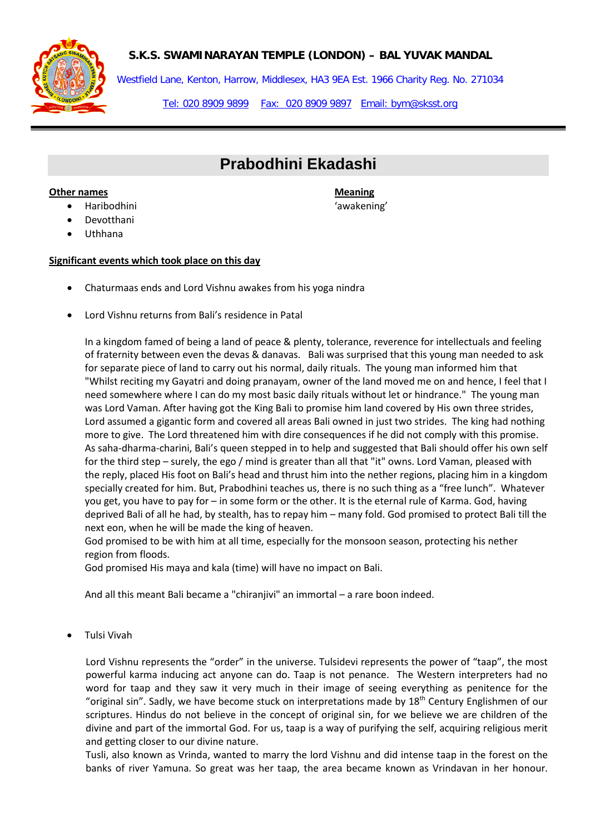**S.K.S. SWAMINARAYAN TEMPLE (LONDON) – BAL YUVAK MANDAL**



Westfield Lane, Kenton, Harrow, Middlesex, HA3 9EA Est. 1966 Charity Reg. No. 271034

Tel: 020 8909 9899 Fax: 020 8909 9897 Email: bym@sksst.org

# **Prabodhini Ekadashi**

#### **Other names Meaning Meaning Meaning Meaning**

- 
- Devotthani
- Uthhana

### **Significant events which took place on this day**

- Chaturmaas ends and Lord Vishnu awakes from his yoga nindra
- Lord Vishnu returns from Bali's residence in Patal

In a kingdom famed of being a land of peace & plenty, tolerance, reverence for intellectuals and feeling of fraternity between even the devas & danavas. Bali was surprised that this young man needed to ask for separate piece of land to carry out his normal, daily rituals. The young man informed him that "Whilst reciting my Gayatri and doing pranayam, owner of the land moved me on and hence, I feel that I need somewhere where I can do my most basic daily rituals without let or hindrance." The young man was Lord Vaman. After having got the King Bali to promise him land covered by His own three strides, Lord assumed a gigantic form and covered all areas Bali owned in just two strides. The king had nothing more to give. The Lord threatened him with dire consequences if he did not comply with this promise. As saha-dharma-charini, Bali's queen stepped in to help and suggested that Bali should offer his own self for the third step – surely, the ego / mind is greater than all that "it" owns. Lord Vaman, pleased with the reply, placed His foot on Bali's head and thrust him into the nether regions, placing him in a kingdom specially created for him. But, Prabodhini teaches us, there is no such thing as a "free lunch". Whatever you get, you have to pay for – in some form or the other. It is the eternal rule of Karma. God, having deprived Bali of all he had, by stealth, has to repay him – many fold. God promised to protect Bali till the next eon, when he will be made the king of heaven.

God promised to be with him at all time, especially for the monsoon season, protecting his nether region from floods.

God promised His maya and kala (time) will have no impact on Bali.

And all this meant Bali became a "chiranjivi" an immortal – a rare boon indeed.

• Tulsi Vivah

Lord Vishnu represents the "order" in the universe. Tulsidevi represents the power of "taap", the most powerful karma inducing act anyone can do. Taap is not penance. The Western interpreters had no word for taap and they saw it very much in their image of seeing everything as penitence for the "original sin". Sadly, we have become stuck on interpretations made by  $18<sup>th</sup>$  Century Englishmen of our scriptures. Hindus do not believe in the concept of original sin, for we believe we are children of the divine and part of the immortal God. For us, taap is a way of purifying the self, acquiring religious merit and getting closer to our divine nature.

Tusli, also known as Vrinda, wanted to marry the lord Vishnu and did intense taap in the forest on the banks of river Yamuna. So great was her taap, the area became known as Vrindavan in her honour.

• Haribodhini 'awakening'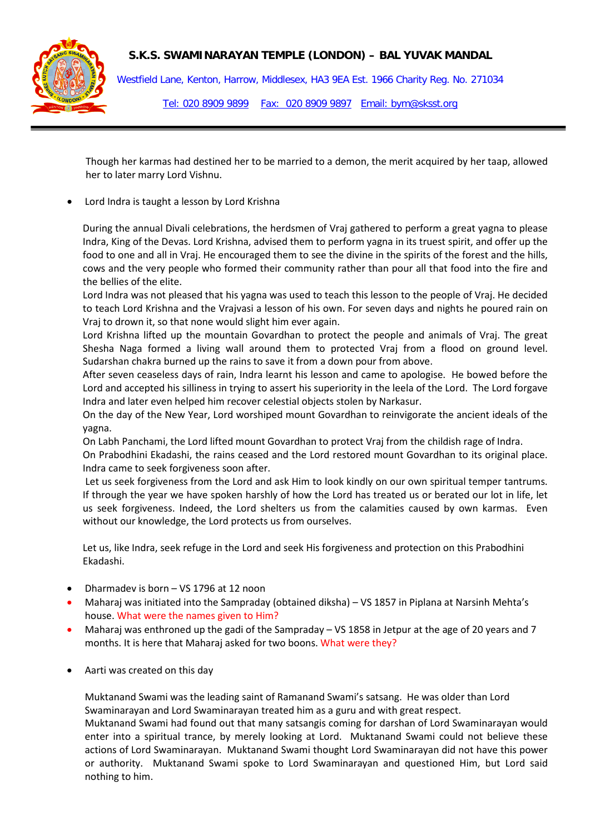## **S.K.S. SWAMINARAYAN TEMPLE (LONDON) – BAL YUVAK MANDAL**



Westfield Lane, Kenton, Harrow, Middlesex, HA3 9EA Est. 1966 Charity Reg. No. 271034 Tel: 020 8909 9899 Fax: 020 8909 9897 Email: bym@sksst.org

Though her karmas had destined her to be married to a demon, the merit acquired by her taap, allowed her to later marry Lord Vishnu.

Lord Indra is taught a lesson by Lord Krishna

During the annual Divali celebrations, the herdsmen of Vraj gathered to perform a great yagna to please Indra, King of the Devas. Lord Krishna, advised them to perform yagna in its truest spirit, and offer up the food to one and all in Vraj. He encouraged them to see the divine in the spirits of the forest and the hills, cows and the very people who formed their community rather than pour all that food into the fire and the bellies of the elite.

Lord Indra was not pleased that his yagna was used to teach this lesson to the people of Vraj. He decided to teach Lord Krishna and the Vrajvasi a lesson of his own. For seven days and nights he poured rain on Vraj to drown it, so that none would slight him ever again.

Lord Krishna lifted up the mountain Govardhan to protect the people and animals of Vraj. The great Shesha Naga formed a living wall around them to protected Vraj from a flood on ground level. Sudarshan chakra burned up the rains to save it from a down pour from above.

After seven ceaseless days of rain, Indra learnt his lesson and came to apologise. He bowed before the Lord and accepted his silliness in trying to assert his superiority in the leela of the Lord. The Lord forgave Indra and later even helped him recover celestial objects stolen by Narkasur.

On the day of the New Year, Lord worshiped mount Govardhan to reinvigorate the ancient ideals of the yagna.

On Labh Panchami, the Lord lifted mount Govardhan to protect Vraj from the childish rage of Indra.

On Prabodhini Ekadashi, the rains ceased and the Lord restored mount Govardhan to its original place. Indra came to seek forgiveness soon after.

Let us seek forgiveness from the Lord and ask Him to look kindly on our own spiritual temper tantrums. If through the year we have spoken harshly of how the Lord has treated us or berated our lot in life, let us seek forgiveness. Indeed, the Lord shelters us from the calamities caused by own karmas. Even without our knowledge, the Lord protects us from ourselves.

Let us, like Indra, seek refuge in the Lord and seek His forgiveness and protection on this Prabodhini Ekadashi.

- Dharmadev is born VS 1796 at 12 noon
- Maharaj was initiated into the Sampraday (obtained diksha) VS 1857 in Piplana at Narsinh Mehta's house. What were the names given to Him?
- Maharaj was enthroned up the gadi of the Sampraday VS 1858 in Jetpur at the age of 20 years and 7 months. It is here that Maharaj asked for two boons. What were they?
- Aarti was created on this day

Muktanand Swami was the leading saint of Ramanand Swami's satsang. He was older than Lord Swaminarayan and Lord Swaminarayan treated him as a guru and with great respect.

Muktanand Swami had found out that many satsangis coming for darshan of Lord Swaminarayan would enter into a spiritual trance, by merely looking at Lord. Muktanand Swami could not believe these actions of Lord Swaminarayan. Muktanand Swami thought Lord Swaminarayan did not have this power or authority. Muktanand Swami spoke to Lord Swaminarayan and questioned Him, but Lord said nothing to him.